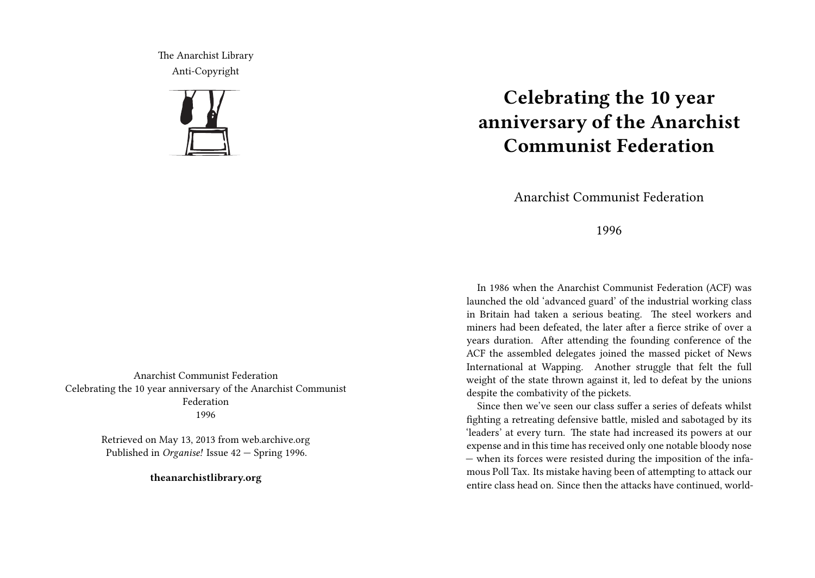The Anarchist Library Anti-Copyright



Anarchist Communist Federation Celebrating the 10 year anniversary of the Anarchist Communist Federation 1996

> Retrieved on May 13, 2013 from web.archive.org Published in *Organise!* Issue 42 — Spring 1996.

> > **theanarchistlibrary.org**

## **Celebrating the 10 year anniversary of the Anarchist Communist Federation**

Anarchist Communist Federation

1996

In 1986 when the Anarchist Communist Federation (ACF) was launched the old 'advanced guard' of the industrial working class in Britain had taken a serious beating. The steel workers and miners had been defeated, the later after a fierce strike of over a years duration. After attending the founding conference of the ACF the assembled delegates joined the massed picket of News International at Wapping. Another struggle that felt the full weight of the state thrown against it, led to defeat by the unions despite the combativity of the pickets.

Since then we've seen our class suffer a series of defeats whilst fighting a retreating defensive battle, misled and sabotaged by its 'leaders' at every turn. The state had increased its powers at our expense and in this time has received only one notable bloody nose — when its forces were resisted during the imposition of the infamous Poll Tax. Its mistake having been of attempting to attack our entire class head on. Since then the attacks have continued, world